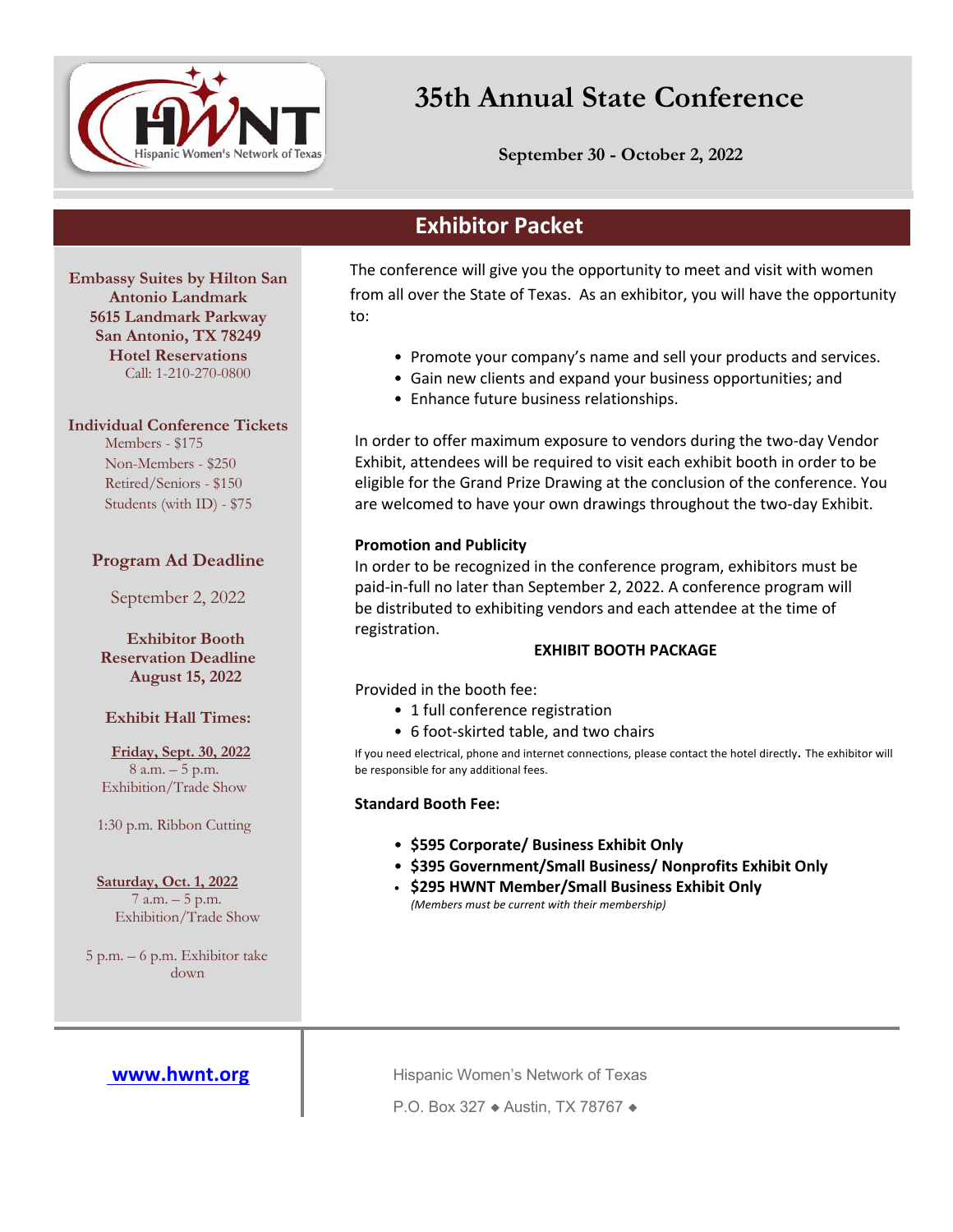

# **35th Annual State Conference**

**September 30 - October 2, 2022**

# **Exhibitor Packet**

**Embassy Suites by Hilton San Antonio Landmark 5615 Landmark Parkway San Antonio, TX 78249 Hotel Reservations** Call: 1-210-270-0800

**Individual Conference Tickets**

Members - \$175 Non-Members - \$250 Retired/Seniors - \$150 Students (with ID) - \$75

## **Program Ad Deadline**

September 2, 2022

**Exhibitor Booth Reservation Deadline August 15, 2022**

### **Exhibit Hall Times:**

**Friday, Sept. 30, 2022** 8 a.m. – 5 p.m. Exhibition/Trade Show

1:30 p.m. Ribbon Cutting

**Saturday, Oct. 1, 2022** 7 a.m. – 5 p.m. Exhibition/Trade Show

5 p.m. – 6 p.m. Exhibitor take down

 The conference will give you the opportunity to meet and visit with women from all over the State of Texas. As an exhibitor, you will have the opportunity to:

- Promote your company's name and sell your products and services.
- Gain new clients and expand your business opportunities; and
- Enhance future business relationships.

In order to offer maximum exposure to vendors during the two-day Vendor Exhibit, attendees will be required to visit each exhibit booth in order to be eligible for the Grand Prize Drawing at the conclusion of the conference. You are welcomed to have your own drawings throughout the two-day Exhibit.

### **Promotion and Publicity**

In order to be recognized in the conference program, exhibitors must be paid-in-full no later than September 2, 2022. A conference program will be distributed to exhibiting vendors and each attendee at the time of registration.

### **EXHIBIT BOOTH PACKAGE**

Provided in the booth fee:

- 1 full conference registration
- 6 foot-skirted table, and two chairs

If you need electrical, phone and internet connections, please contact the hotel directly. The exhibitor will be responsible for any additional fees.

### **Standard Booth Fee:**

- **\$595 Corporate/ Business Exhibit Only**
- **\$395 Government/Small Business/ Nonprofits Exhibit Only**
- **\$295 HWNT Member/Small Business Exhibit Only** *(Members must be current with their membership)*

**www.hwnt.org | Hispanic Women's Network of Texas** 

P.O. Box 327 ◆ Austin, TX 78767 ◆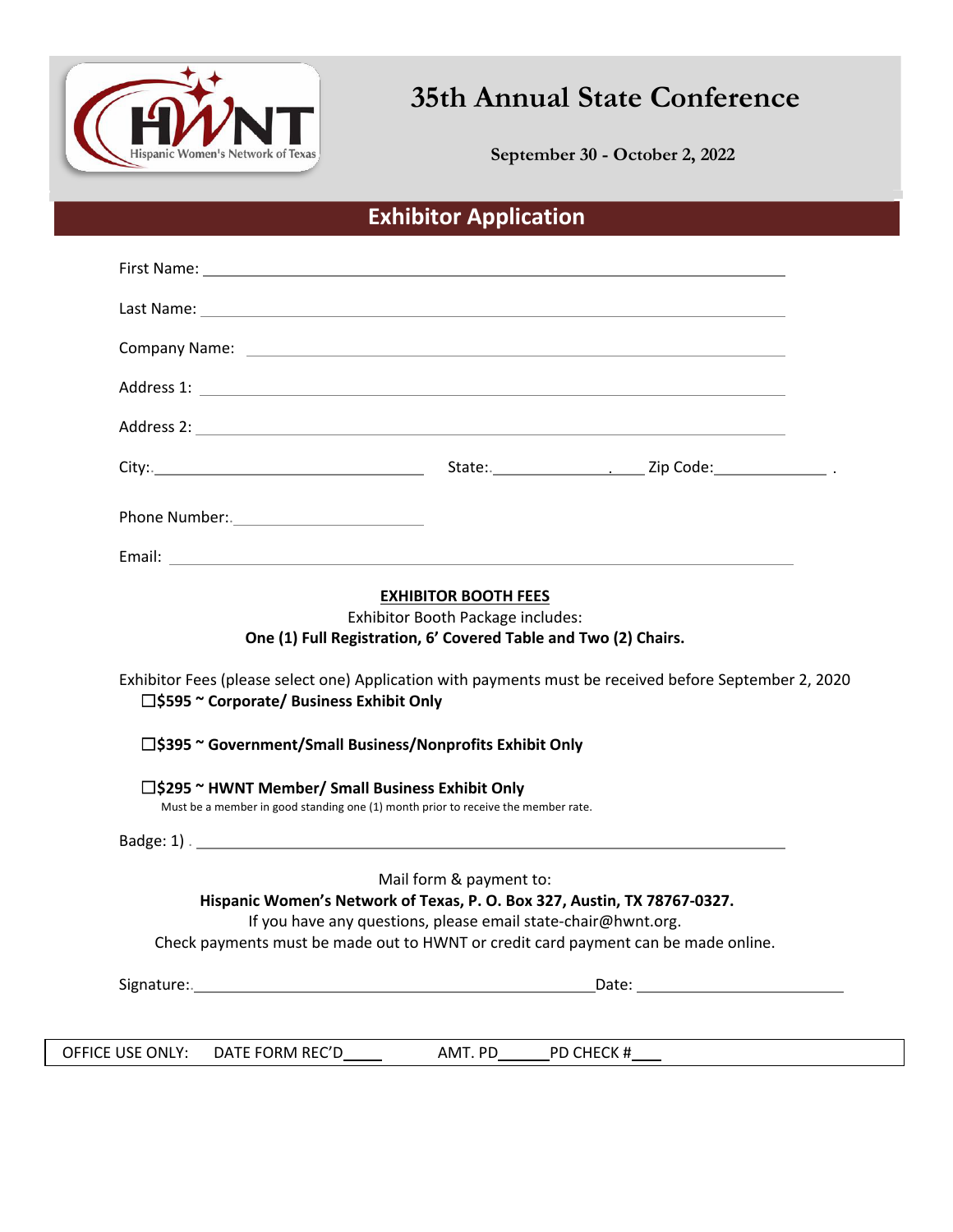

**35th Annual State Conference**

**September 30 - October 2, 2022 September 30 - October 2, 2022**

# **Exhibitor Application**

| □\$595 ~ Corporate/ Business Exhibit Only                                                                                              | One (1) Full Registration, 6' Covered Table and Two (2) Chairs.<br>Exhibitor Fees (please select one) Application with payments must be received before September 2, 2020 |
|----------------------------------------------------------------------------------------------------------------------------------------|---------------------------------------------------------------------------------------------------------------------------------------------------------------------------|
| □\$395 ~ Government/Small Business/Nonprofits Exhibit Only                                                                             |                                                                                                                                                                           |
| □\$295 ~ HWNT Member/ Small Business Exhibit Only<br>Must be a member in good standing one (1) month prior to receive the member rate. |                                                                                                                                                                           |
|                                                                                                                                        |                                                                                                                                                                           |
|                                                                                                                                        | Mail form & payment to:<br>Hispanic Women's Network of Texas, P. O. Box 327, Austin, TX 78767-0327.<br>If you have any questions, please email state-chair@hwnt.org.      |
|                                                                                                                                        | Check payments must be made out to HWNT or credit card payment can be made online.                                                                                        |
|                                                                                                                                        |                                                                                                                                                                           |
|                                                                                                                                        |                                                                                                                                                                           |

OFFICE USE ONLY: DATE FORM REC'D AMT. PD PD CHECK #